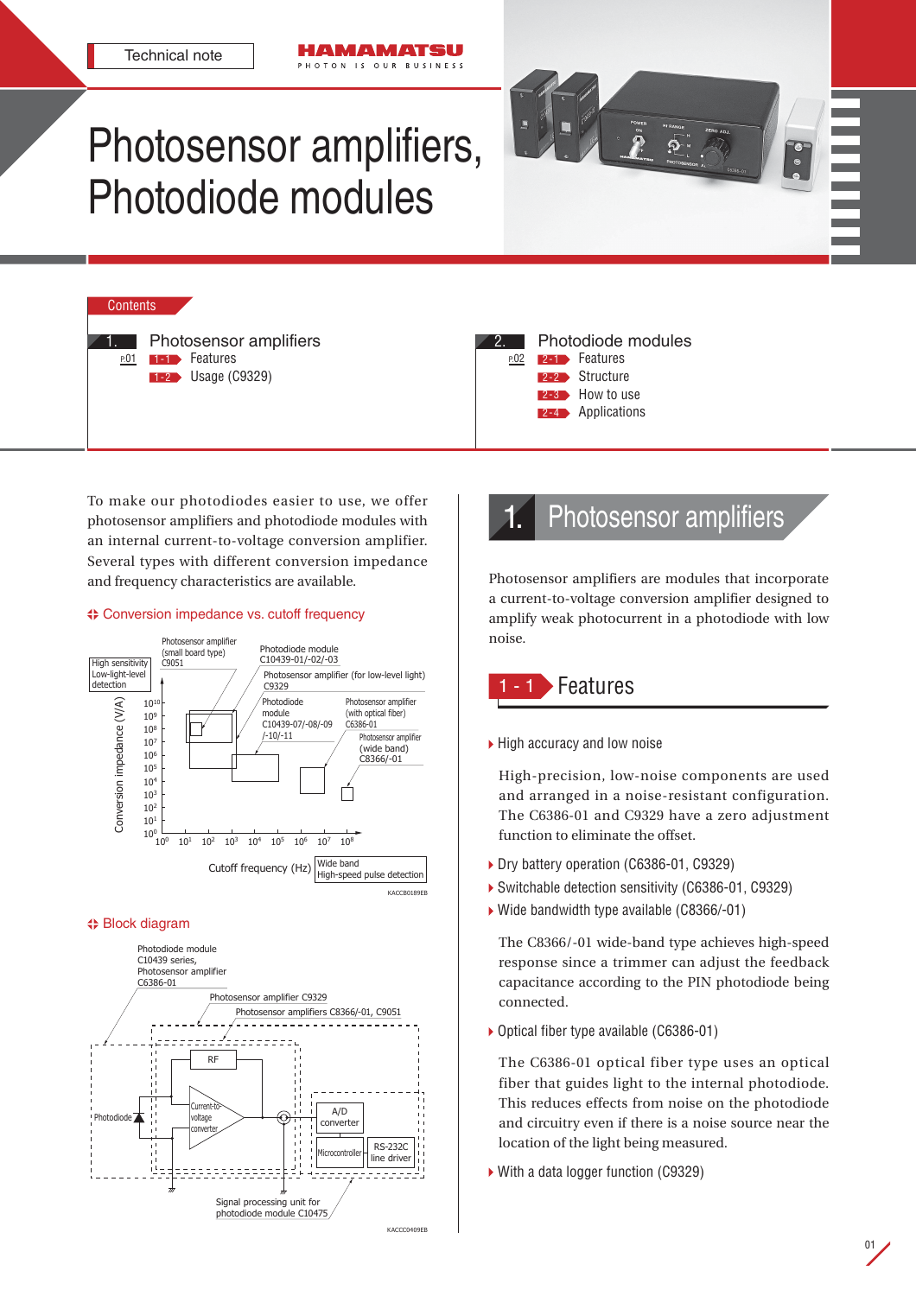# Photosensor amplifiers, Photodiode modules

IAN ATSU OTON IS OUR BUSINESS



**Contents** 1. P.01 Photosensor amplifiers 1-1 Features **1-2** Usage (C9329)

| Photodiode modules |                       |  |  |  |
|--------------------|-----------------------|--|--|--|
|                    | P.02 2-1 Features     |  |  |  |
|                    | 2-2 Structure         |  |  |  |
|                    | <b>2-3</b> How to use |  |  |  |
|                    | 2-4 Applications      |  |  |  |
|                    |                       |  |  |  |

To make our photodiodes easier to use, we offer photosensor amplifiers and photodiode modules with an internal current-to-voltage conversion amplifier. Several types with different conversion impedance and frequency characteristics are available.

### Conversion impedance vs. cutoff frequency



#### Block diagram



# Photosensor amplifiers

Photosensor amplifiers are modules that incorporate a current-to-voltage conversion amplifier designed to amplify weak photocurrent in a photodiode with low noise.

# **Features**

▶ High accuracy and low noise

High-precision, low-noise components are used and arranged in a noise-resistant configuration. The C6386-01 and C9329 have a zero adjustment function to eliminate the offset.

- Dry battery operation (C6386-01, C9329)
- Switchable detection sensitivity (C6386-01, C9329)
- Wide bandwidth type available (C8366/-01)

The C8366/-01 wide-band type achieves high-speed response since a trimmer can adjust the feedback capacitance according to the PIN photodiode being connected.

▶ Optical fiber type available (C6386-01)

The C6386-01 optical fiber type uses an optical fiber that guides light to the internal photodiode. This reduces effects from noise on the photodiode and circuitry even if there is a noise source near the location of the light being measured.

▶ With a data logger function (C9329)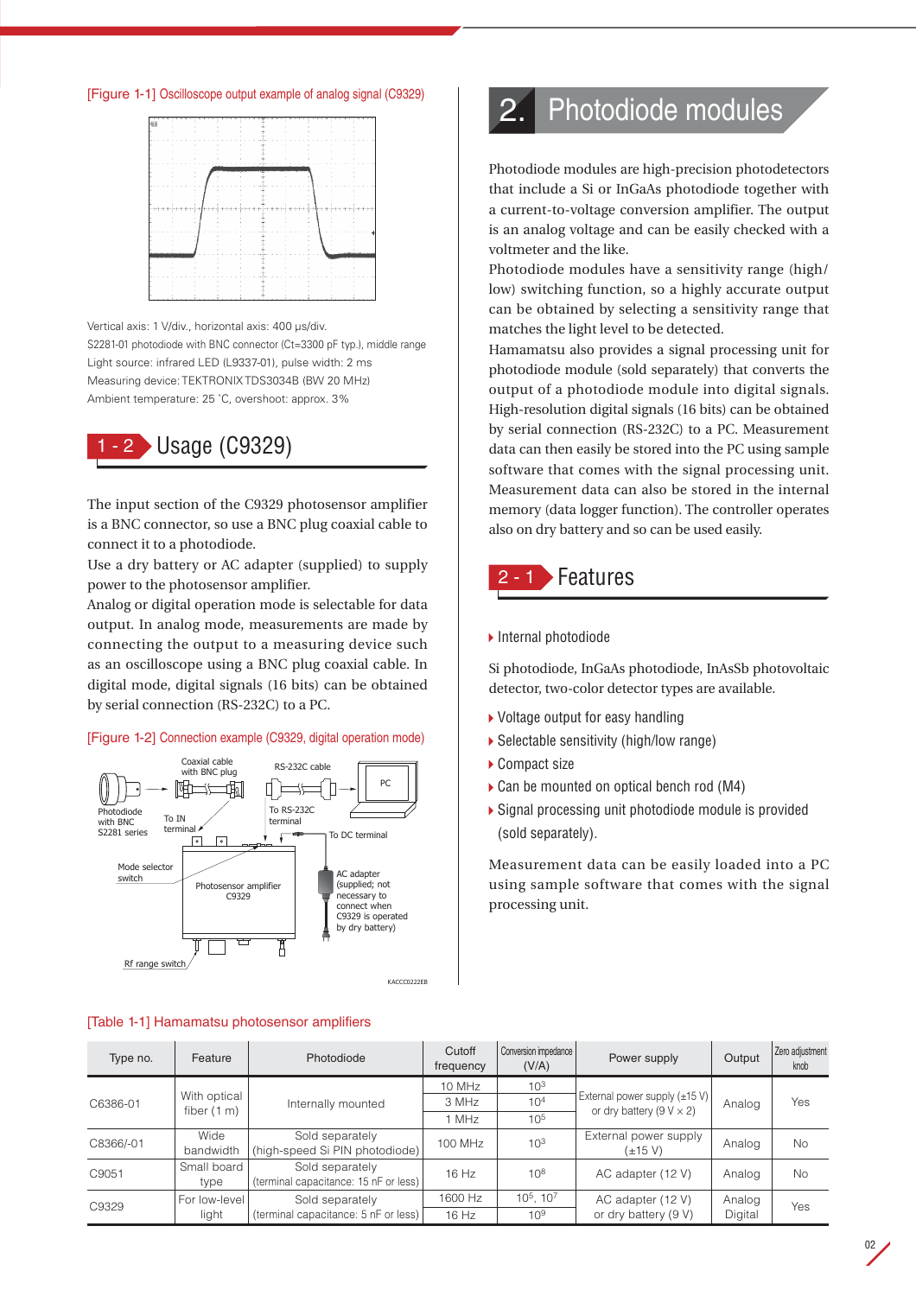[Figure 1-1] Oscilloscope output example of analog signal (C9329)



Vertical axis: 1 V/div., horizontal axis: 400 μs/div. S2281-01 photodiode with BNC connector (Ct=3300 pF typ.), middle range Light source: infrared LED (L9337-01), pulse width: 2 ms Measuring device: TEKTRONIX TDS3034B (BW 20 MHz) Ambient temperature: 25 ˚C, overshoot: approx. 3%



The input section of the C9329 photosensor amplifier is a BNC connector, so use a BNC plug coaxial cable to connect it to a photodiode.

Use a dry battery or AC adapter (supplied) to supply power to the photosensor amplifier.

Analog or digital operation mode is selectable for data output. In analog mode, measurements are made by connecting the output to a measuring device such as an oscilloscope using a BNC plug coaxial cable. In digital mode, digital signals (16 bits) can be obtained by serial connection (RS-232C) to a PC.

#### [Figure 1-2] Connection example (C9329, digital operation mode)



#### [Table 1-1] Hamamatsu photosensor amplifiers

# 2. Photodiode modules

Photodiode modules are high-precision photodetectors that include a Si or InGaAs photodiode together with a current-to-voltage conversion amplifier. The output is an analog voltage and can be easily checked with a voltmeter and the like.

Photodiode modules have a sensitivity range (high/ low) switching function, so a highly accurate output can be obtained by selecting a sensitivity range that matches the light level to be detected.

Hamamatsu also provides a signal processing unit for photodiode module (sold separately) that converts the output of a photodiode module into digital signals. High-resolution digital signals (16 bits) can be obtained by serial connection (RS-232C) to a PC. Measurement data can then easily be stored into the PC using sample software that comes with the signal processing unit. Measurement data can also be stored in the internal memory (data logger function). The controller operates also on dry battery and so can be used easily.

## **- 1 Features**

▶ Internal photodiode

Si photodiode, InGaAs photodiode, InAsSb photovoltaic detector, two-color detector types are available.

- ▶ Voltage output for easy handling
- Selectable sensitivity (high/low range)
- ▶ Compact size
- ▶ Can be mounted on optical bench rod (M4)
- Signal processing unit photodiode module is provided (sold separately).

Measurement data can be easily loaded into a PC using sample software that comes with the signal processing unit.

| Type no.  | Feature                       | Photodiode                                               | Cutoff<br>frequency | Conversion impedance<br>(V/A) | Power supply                                                                    | Output  | Zero adjustment<br>knob |
|-----------|-------------------------------|----------------------------------------------------------|---------------------|-------------------------------|---------------------------------------------------------------------------------|---------|-------------------------|
| C6386-01  | With optical<br>fiber $(1 m)$ | Internally mounted                                       | 10 MHz              | 10 <sup>3</sup>               |                                                                                 | Analog  | Yes                     |
|           |                               |                                                          | 3 MHz               | 10 <sup>4</sup>               | External power supply $(\pm 15 \text{ V})$<br>or dry battery ( $9 V \times 2$ ) |         |                         |
|           |                               |                                                          | 1 MHz               | 10 <sup>5</sup>               |                                                                                 |         |                         |
| C8366/-01 | Wide<br>bandwidth             | Sold separately<br>(high-speed Si PIN photodiode)        | 100 MHz             | 10 <sup>3</sup>               | External power supply<br>(±15 V)                                                | Analog  | <b>No</b>               |
| C9051     | Small board<br>type           | Sold separately<br>(terminal capacitance: 15 nF or less) | 16 Hz               | $10^{8}$                      | AC adapter (12 V)                                                               | Analog  | <b>No</b>               |
| C9329     | For low-level<br>light        | Sold separately<br>(terminal capacitance: 5 nF or less)  | 1600 Hz             | $10^5$ , $10^7$               | AC adapter (12 V)                                                               | Analog  | Yes                     |
|           |                               |                                                          | 16 Hz               | 10 <sup>9</sup>               | or dry battery (9 V)                                                            | Digital |                         |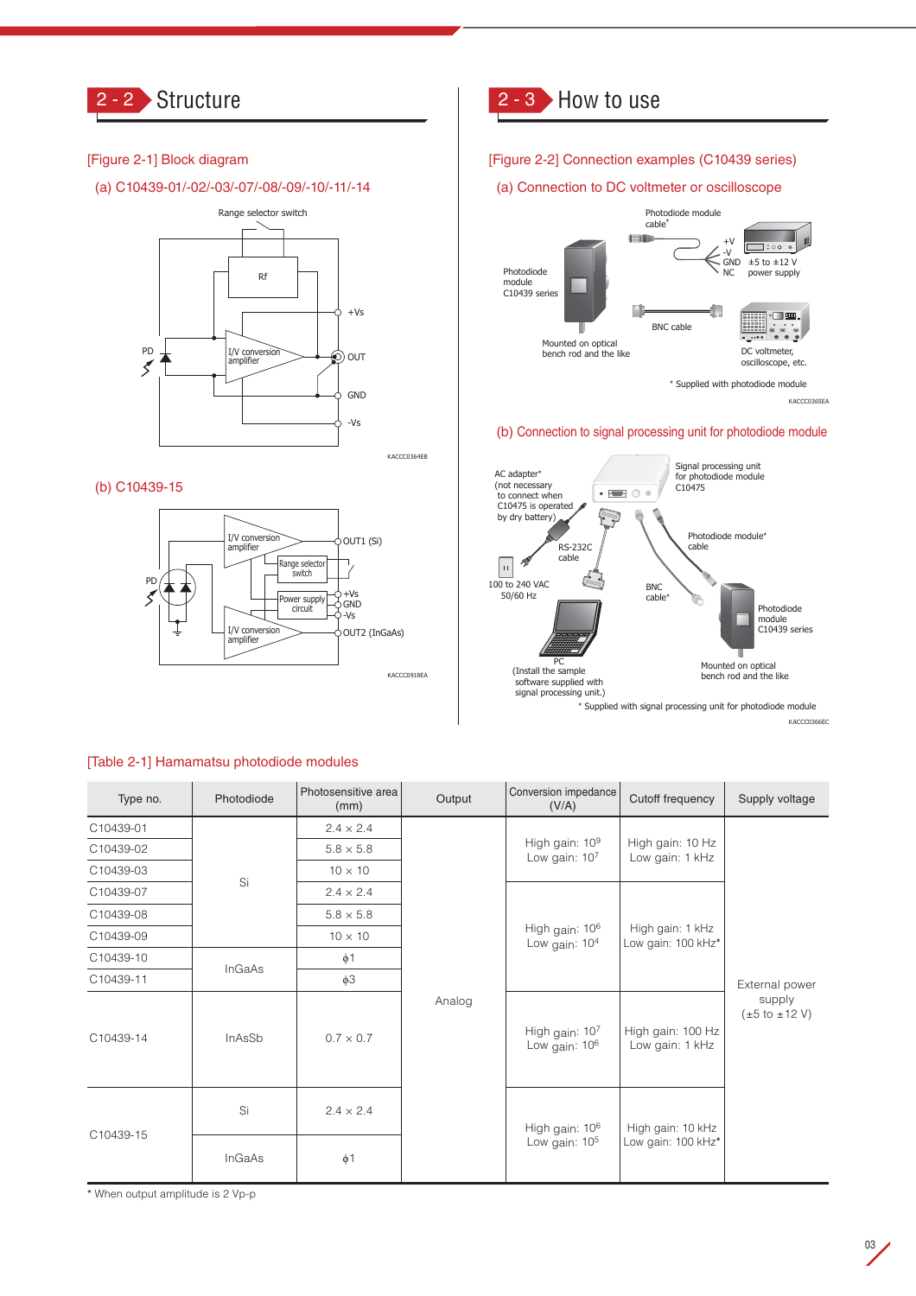

## [Figure 2-1] Block diagram

(a) C10439-01/-02/-03/-07/-08/-09/-10/-11/-14



### (b) C10439-15



# 2 - 3 How to use

#### [Figure 2-2] Connection examples (C10439 series)

#### (a) Connection to DC voltmeter or oscilloscope



KACCC0365EA

#### (b) Connection to signal processing unit for photodiode module



\* Supplied with signal processing unit for photodiode module

KACCC0366EC

| Type no.  | Photodiode | Photosensitive area<br>(mm) | Output | Conversion impedance<br>(V/A)                 | Cutoff frequency                        | Supply voltage                                   |
|-----------|------------|-----------------------------|--------|-----------------------------------------------|-----------------------------------------|--------------------------------------------------|
| C10439-01 |            | $2.4 \times 2.4$            |        |                                               | High gain: 10 Hz<br>Low gain: 1 kHz     | External power                                   |
| C10439-02 | Si         | $5.8 \times 5.8$            |        | High gain: 10 <sup>9</sup><br>Low gain: $107$ |                                         |                                                  |
| C10439-03 |            | $10 \times 10$              |        |                                               |                                         |                                                  |
| C10439-07 |            | $2.4 \times 2.4$            |        | High gain: 10 <sup>6</sup><br>Low gain: $104$ | High gain: 1 kHz<br>Low gain: 100 kHz*  |                                                  |
| C10439-08 |            | $5.8 \times 5.8$            |        |                                               |                                         |                                                  |
| C10439-09 |            | $10 \times 10$              |        |                                               |                                         |                                                  |
| C10439-10 |            | $\phi$ 1                    |        |                                               |                                         |                                                  |
| C10439-11 | InGaAs     | $\phi$ 3                    |        |                                               |                                         |                                                  |
| C10439-14 | InAsSb     | Analog<br>$0.7 \times 0.7$  |        | High gain: $107$<br>Low gain: 10 <sup>6</sup> | High gain: 100 Hz<br>Low gain: 1 kHz    | supply<br>$(\pm 5 \text{ to } \pm 12 \text{ V})$ |
| C10439-15 | Si         | $2.4 \times 2.4$            |        | High gain: 10 <sup>6</sup><br>Low gain: $105$ | High gain: 10 kHz<br>Low gain: 100 kHz* |                                                  |
|           | InGaAs     | $\phi$ 1                    |        |                                               |                                         |                                                  |

#### [Table 2-1] Hamamatsu photodiode modules

\* When output amplitude is 2 Vp-p